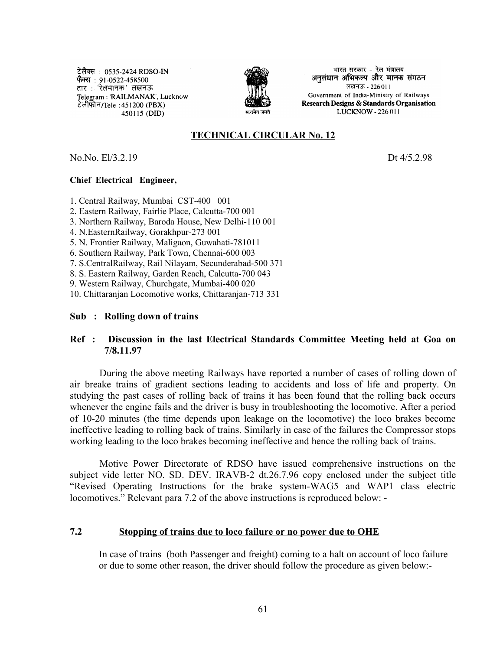टेलैक्स : 0535-2424 RDSO-IN फैक्स : 91-0522-458500 तार : 'रेलमानक' लखनऊ Telegram: 'RAILMANAK', Lucknow टेलीफोन/Tele : 451200 (PBX) | 450115 (DID)



भारत सरकार - रेल मंत्रालय अनुसंधान अभिकल्प और मानक संगठन लखनऊ - 226011 Government of India-Ministry of Railways Research Designs & Standards Organisation LUCKNOW - 226 011

# **TECHNICAL CIRCULAR No. 12**

No.No. El/3.2.19Dt 4/5.2.98

#### **Chief Electrical Engineer,**

1. Central Railway, Mumbai CST-400 001

2. Eastern Railway, Fairlie Place, Calcutta-700 001

3. Northern Railway, Baroda House, New Delhi-110 001

4. N.EasternRailway, Gorakhpur-273 001

5. N. Frontier Railway, Maligaon, Guwahati-781011

6. Southern Railway, Park Town, Chennai-600 003

7. S.CentralRailway, Rail Nilayam, Secunderabad-500 371

8. S. Eastern Railway, Garden Reach, Calcutta-700 043

9. Western Railway, Churchgate, Mumbai-400 020

10. Chittaranjan Locomotive works, Chittaranjan-713 331

#### **Sub : Rolling down of trains**

## **Ref : Discussion in the last Electrical Standards Committee Meeting held at Goa on 7/8.11.97**

During the above meeting Railways have reported a number of cases of rolling down of air breake trains of gradient sections leading to accidents and loss of life and property. On studying the past cases of rolling back of trains it has been found that the rolling back occurs whenever the engine fails and the driver is busy in troubleshooting the locomotive. After a period of 10-20 minutes (the time depends upon leakage on the locomotive) the loco brakes become ineffective leading to rolling back of trains. Similarly in case of the failures the Compressor stops working leading to the loco brakes becoming ineffective and hence the rolling back of trains.

Motive Power Directorate of RDSO have issued comprehensive instructions on the subject vide letter NO. SD. DEV. IRAVB-2 dt.26.7.96 copy enclosed under the subject title "Revised Operating Instructions for the brake system-WAG5 and WAP1 class electric locomotives." Relevant para 7.2 of the above instructions is reproduced below: -

#### **7.2 Stopping of trains due to loco failure or no power due to OHE**

In case of trains (both Passenger and freight) coming to a halt on account of loco failure or due to some other reason, the driver should follow the procedure as given below:-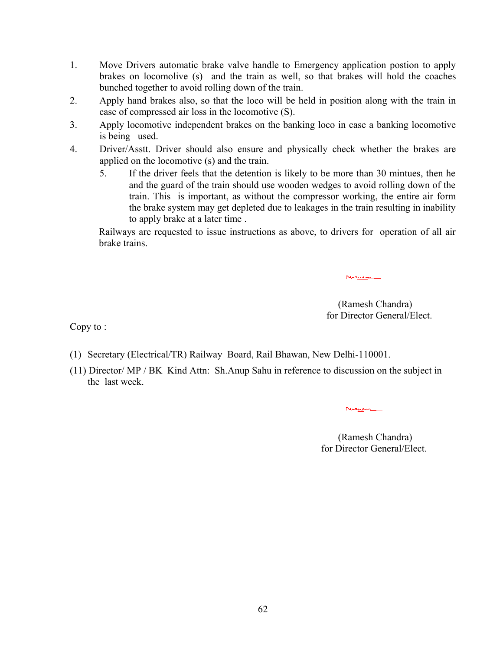- 1. Move Drivers automatic brake valve handle to Emergency application postion to apply brakes on locomolive (s) and the train as well, so that brakes will hold the coaches bunched together to avoid rolling down of the train.
- 2. Apply hand brakes also, so that the loco will be held in position along with the train in case of compressed air loss in the locomotive (S).
- 3. Apply locomotive independent brakes on the banking loco in case a banking locomotive is being used.
- 4. Driver/Asstt. Driver should also ensure and physically check whether the brakes are applied on the locomotive (s) and the train.
	- 5. If the driver feels that the detention is likely to be more than 30 mintues, then he and the guard of the train should use wooden wedges to avoid rolling down of the train. This is important, as without the compressor working, the entire air form the brake system may get depleted due to leakages in the train resulting in inability to apply brake at a later time .

Railways are requested to issue instructions as above, to drivers for operation of all air brake trains.

> (Ramesh Chandra) for Director General/Elect.

Nicedis.

Copy to :

- (1) Secretary (Electrical/TR) Railway Board, Rail Bhawan, New Delhi-110001.
- (11) Director/ MP / BK Kind Attn: Sh.Anup Sahu in reference to discussion on the subject in the last week.

Nicedi.

(Ramesh Chandra) for Director General/Elect.